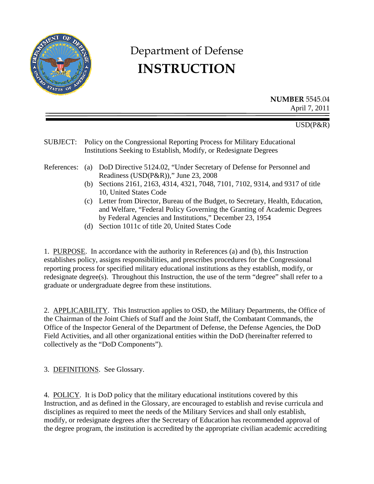

# Department of Defense **INSTRUCTION**

**NUMBER** 5545.04 April 7, 2011

USD(P&R)

SUBJECT: Policy on the Congressional Reporting Process for Military Educational Institutions Seeking to Establish, Modify, or Redesignate Degrees

- References: (a) DoD Directive 5124.02, "Under Secretary of Defense for Personnel and Readiness (USD(P&R))," June 23, 2008
	- (b) Sections 2161, 2163, 4314, 4321, 7048, 7101, 7102, 9314, and 9317 of title 10, United States Code
	- (c) Letter from Director, Bureau of the Budget, to Secretary, Health, Education, and Welfare, "Federal Policy Governing the Granting of Academic Degrees by Federal Agencies and Institutions," December 23, 1954
	- (d) Section 1011c of title 20, United States Code

1. PURPOSE. In accordance with the authority in References (a) and (b), this Instruction establishes policy, assigns responsibilities, and prescribes procedures for the Congressional reporting process for specified military educational institutions as they establish, modify, or redesignate degree(s). Throughout this Instruction, the use of the term "degree" shall refer to a graduate or undergraduate degree from these institutions.

2. APPLICABILITY. This Instruction applies to OSD, the Military Departments, the Office of the Chairman of the Joint Chiefs of Staff and the Joint Staff, the Combatant Commands, the Office of the Inspector General of the Department of Defense, the Defense Agencies, the DoD Field Activities, and all other organizational entities within the DoD (hereinafter referred to collectively as the "DoD Components").

3. DEFINITIONS. See Glossary.

4. POLICY. It is DoD policy that the military educational institutions covered by this Instruction, and as defined in the Glossary, are encouraged to establish and revise curricula and disciplines as required to meet the needs of the Military Services and shall only establish, modify, or redesignate degrees after the Secretary of Education has recommended approval of the degree program, the institution is accredited by the appropriate civilian academic accrediting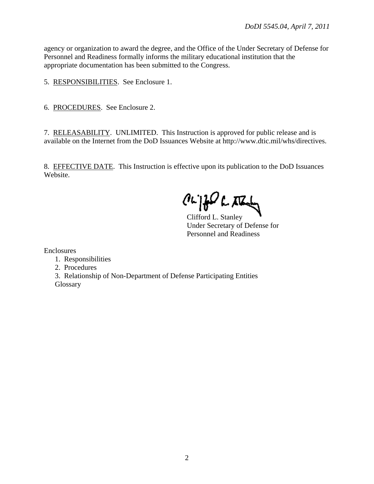agency or organization to award the degree, and the Office of the Under Secretary of Defense for Personnel and Readiness formally informs the military educational institution that the appropriate documentation has been submitted to the Congress.

5. RESPONSIBILITIES. See Enclosure 1.

6. PROCEDURES. See Enclosure 2.

7. RELEASABILITY. UNLIMITED. This Instruction is approved for public release and is available on the Internet from the DoD Issuances Website at http://www.dtic.mil/whs/directives.

8. EFFECTIVE DATE. This Instruction is effective upon its publication to the DoD Issuances Website.

 $a$  $\beta$ 

Clifford L. Stanley Under Secretary of Defense for Personnel and Readiness

Enclosures

1. Responsibilities

2. Procedures

 3. Relationship of Non-Department of Defense Participating Entities **Glossary**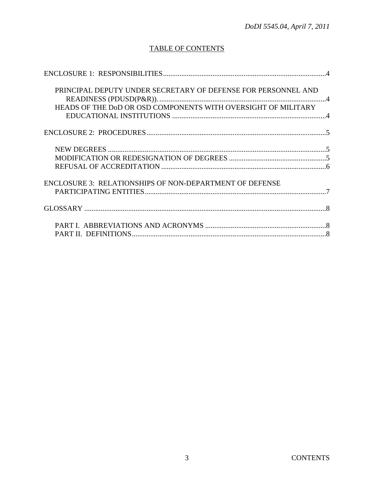## **TABLE OF CONTENTS**

| PRINCIPAL DEPUTY UNDER SECRETARY OF DEFENSE FOR PERSONNEL AND<br>HEADS OF THE DOD OR OSD COMPONENTS WITH OVERSIGHT OF MILITARY |  |
|--------------------------------------------------------------------------------------------------------------------------------|--|
|                                                                                                                                |  |
|                                                                                                                                |  |
| <b>ENCLOSURE 3: RELATIONSHIPS OF NON-DEPARTMENT OF DEFENSE</b>                                                                 |  |
|                                                                                                                                |  |
|                                                                                                                                |  |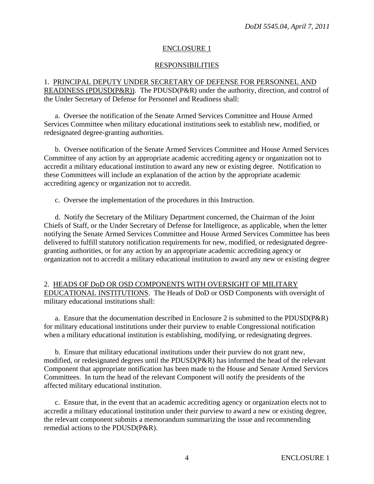## ENCLOSURE 1

## RESPONSIBILITIES

1. PRINCIPAL DEPUTY UNDER SECRETARY OF DEFENSE FOR PERSONNEL AND READINESS (PDUSD(P&R)). The PDUSD(P&R) under the authority, direction, and control of the Under Secretary of Defense for Personnel and Readiness shall:

 a. Oversee the notification of the Senate Armed Services Committee and House Armed Services Committee when military educational institutions seek to establish new, modified, or redesignated degree-granting authorities.

 b. Oversee notification of the Senate Armed Services Committee and House Armed Services Committee of any action by an appropriate academic accrediting agency or organization not to accredit a military educational institution to award any new or existing degree. Notification to these Committees will include an explanation of the action by the appropriate academic accrediting agency or organization not to accredit.

c. Oversee the implementation of the procedures in this Instruction.

 d. Notify the Secretary of the Military Department concerned, the Chairman of the Joint Chiefs of Staff, or the Under Secretary of Defense for Intelligence, as applicable, when the letter notifying the Senate Armed Services Committee and House Armed Services Committee has been delivered to fulfill statutory notification requirements for new, modified, or redesignated degreegranting authorities, or for any action by an appropriate academic accrediting agency or organization not to accredit a military educational institution to award any new or existing degree

2. HEADS OF DoD OR OSD COMPONENTS WITH OVERSIGHT OF MILITARY EDUCATIONAL INSTITUTIONS. The Heads of DoD or OSD Components with oversight of military educational institutions shall:

 a. Ensure that the documentation described in Enclosure 2 is submitted to the PDUSD(P&R) for military educational institutions under their purview to enable Congressional notification when a military educational institution is establishing, modifying, or redesignating degrees.

 b. Ensure that military educational institutions under their purview do not grant new, modified, or redesignated degrees until the PDUSD(P&R) has informed the head of the relevant Component that appropriate notification has been made to the House and Senate Armed Services Committees. In turn the head of the relevant Component will notify the presidents of the affected military educational institution.

 c. Ensure that, in the event that an academic accrediting agency or organization elects not to accredit a military educational institution under their purview to award a new or existing degree, the relevant component submits a memorandum summarizing the issue and recommending remedial actions to the PDUSD(P&R).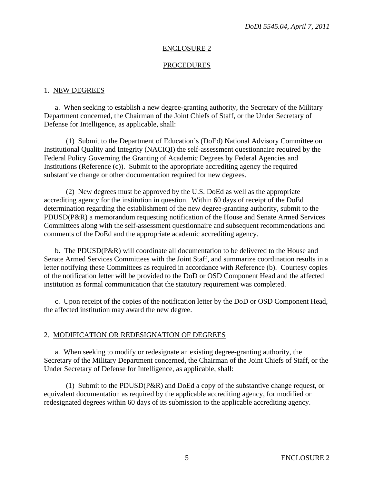#### ENCLOSURE 2

#### PROCEDURES

#### 1. NEW DEGREES

 a. When seeking to establish a new degree-granting authority, the Secretary of the Military Department concerned, the Chairman of the Joint Chiefs of Staff, or the Under Secretary of Defense for Intelligence, as applicable, shall:

 (1) Submit to the Department of Education's (DoEd) National Advisory Committee on Institutional Quality and Integrity (NACIQI) the self-assessment questionnaire required by the Federal Policy Governing the Granting of Academic Degrees by Federal Agencies and Institutions (Reference (c)). Submit to the appropriate accrediting agency the required substantive change or other documentation required for new degrees.

 (2) New degrees must be approved by the U.S. DoEd as well as the appropriate accrediting agency for the institution in question. Within 60 days of receipt of the DoEd determination regarding the establishment of the new degree-granting authority, submit to the PDUSD(P&R) a memorandum requesting notification of the House and Senate Armed Services Committees along with the self-assessment questionnaire and subsequent recommendations and comments of the DoEd and the appropriate academic accrediting agency.

 b. The PDUSD(P&R) will coordinate all documentation to be delivered to the House and Senate Armed Services Committees with the Joint Staff, and summarize coordination results in a letter notifying these Committees as required in accordance with Reference (b). Courtesy copies of the notification letter will be provided to the DoD or OSD Component Head and the affected institution as formal communication that the statutory requirement was completed.

 c. Upon receipt of the copies of the notification letter by the DoD or OSD Component Head, the affected institution may award the new degree.

#### 2. MODIFICATION OR REDESIGNATION OF DEGREES

 a. When seeking to modify or redesignate an existing degree-granting authority, the Secretary of the Military Department concerned, the Chairman of the Joint Chiefs of Staff, or the Under Secretary of Defense for Intelligence, as applicable, shall:

 (1) Submit to the PDUSD(P&R) and DoEd a copy of the substantive change request, or equivalent documentation as required by the applicable accrediting agency, for modified or redesignated degrees within 60 days of its submission to the applicable accrediting agency.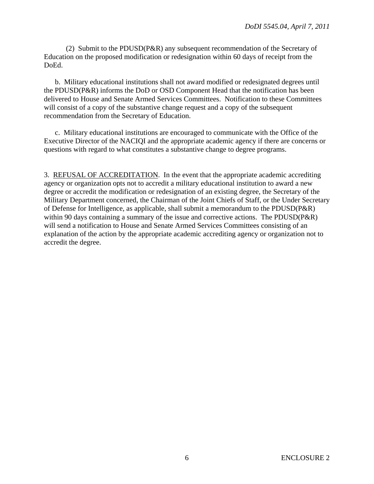(2) Submit to the PDUSD(P&R) any subsequent recommendation of the Secretary of Education on the proposed modification or redesignation within 60 days of receipt from the DoEd.

 b. Military educational institutions shall not award modified or redesignated degrees until the PDUSD(P&R) informs the DoD or OSD Component Head that the notification has been delivered to House and Senate Armed Services Committees. Notification to these Committees will consist of a copy of the substantive change request and a copy of the subsequent recommendation from the Secretary of Education.

 c. Military educational institutions are encouraged to communicate with the Office of the Executive Director of the NACIQI and the appropriate academic agency if there are concerns or questions with regard to what constitutes a substantive change to degree programs.

3. REFUSAL OF ACCREDITATION. In the event that the appropriate academic accrediting agency or organization opts not to accredit a military educational institution to award a new degree or accredit the modification or redesignation of an existing degree, the Secretary of the Military Department concerned, the Chairman of the Joint Chiefs of Staff, or the Under Secretary of Defense for Intelligence, as applicable, shall submit a memorandum to the PDUSD(P&R) within 90 days containing a summary of the issue and corrective actions. The PDUSD(P&R) will send a notification to House and Senate Armed Services Committees consisting of an explanation of the action by the appropriate academic accrediting agency or organization not to accredit the degree.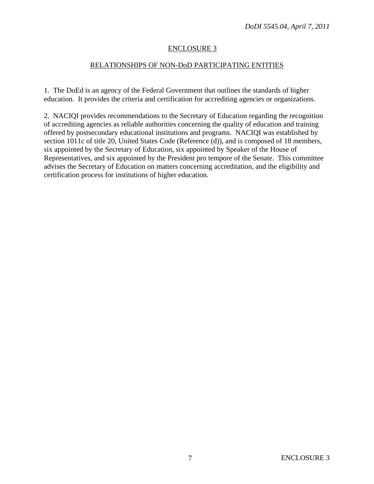## ENCLOSURE 3

## RELATIONSHIPS OF NON-DoD PARTICIPATING ENTITIES

1. The DoEd is an agency of the Federal Government that outlines the standards of higher education. It provides the criteria and certification for accrediting agencies or organizations.

2. NACIQI provides recommendations to the Secretary of Education regarding the recognition of accrediting agencies as reliable authorities concerning the quality of education and training offered by postsecondary educational institutions and programs. NACIQI was established by section 1011c of title 20, United States Code (Reference (d)), and is composed of 18 members, six appointed by the Secretary of Education, six appointed by Speaker of the House of Representatives, and six appointed by the President pro tempore of the Senate. This committee advises the Secretary of Education on matters concerning accreditation, and the eligibility and certification process for institutions of higher education.